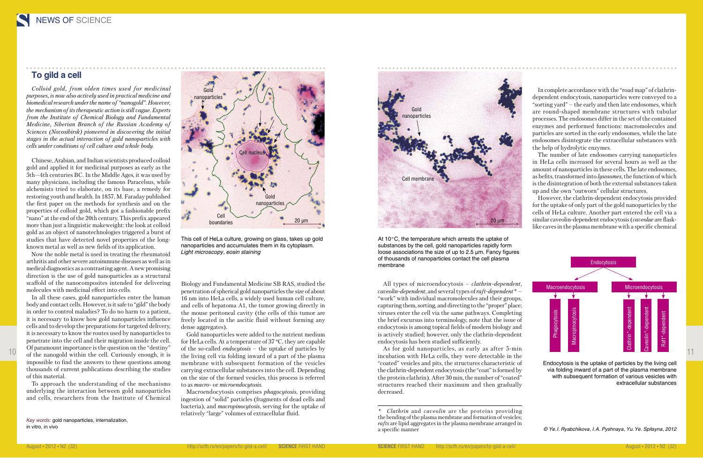## **To gild a cell**

*Colloid gold, from olden times used for medicinal purposes, is now also actively used in practical medicine and biomedical research under the name of "nanogold". However, the mechanism of its therapeutic action is still vague. Experts from the Institute of Chemical Biology and Fundamental Medicine, Siberian Branch of the Russian Academy of Sciences (Novosibirsk) pioneered in discovering the initial stages in the actual interaction of gold nanoparticles with cells under conditions of cell culture and whole body.*

Chinese, Arabian, and Indian scientists produced colloid gold and applied it for medicinal purposes as early as the 5th—4th centuries BC. In the Middle Ages, it was used by many physicians, including the famous Paracelsus, while alchemists tried to elaborate, on its base, a remedy for restoring youth and health. In 1857, M. Faraday published the first paper on the methods for synthesis and on the properties of colloid gold, which got a fashionable prefix "nano" at the end of the 20th century. This prefix appeared more than just a linguistic makeweight: the look at colloid gold as an object of nanotechnologies triggered a burst of studies that have detected novel properties of the longknown metal as well as new fields of its application.

Now the noble metal is used in treating the rheumatoid arthritis and other severe autoimmune diseases as well as in medical diagnostics as a contrasting agent. A new promising direction is the use of gold nanoparticles as a structural scaffold of the nanocomposites intended for delivering molecules with medicinal effect into cells.

of the nanogold within the cell. Curiously enough, it is the living cell via folding inward of a part of the plasma incubation with HeLa cells, they were detectable in the the state of the nanogold within the cell. Curious Gold nanoparticles were added to the nutrient medium for HeLa cells. At a temperature of 37 ºC, they are capable of the so-called *endocytosis* – the uptake of particles by the living cell via folding inward of a part of the plasma membrane with subsequent formation of the vesicles carrying extracellular substances into the cell. Depending on the size of the formed vesicles, this process is referred to as *macro-* or *microendocytosis.*

In all these cases, gold nanoparticles enter the human body and contact cells. However, is it safe to "gild" the body in order to control maladies? To do no harm to a patient, it is necessary to know how gold nanoparticles influence cells and to develop the preparations for targeted delivery, it is necessary to know the routes used by nanoparticles to penetrate into the cell and their migration inside the cell. Of paramount importance is the question on the "destiny" impossible to find the answers to these questions among thousands of current publications describing the studies of this material.

To approach the understanding of the mechanisms underlying the interaction between gold nanoparticles and cells, researchers from the Institute of Chemical Biology and Fundamental Medicine SB RAS, studied the penetration of spherical gold nanoparticles the size of about 16 nm into HeLa cells, a widely used human cell culture, and cells of hepatoma A1, the tumor growing directly in the mouse peritoneal cavity (the cells of this tumor are freely located in the ascitic fluid without forming any dense aggregates).

Macroendocytosis comprises *phagocytosis*, providing ingestion of "solid" particles (fragments of dead cells and bacteria), and *macropinocytosis*, serving for the uptake of relatively "large" volumes of extracellular fluid.

All types of microendocytosis – *clathrin-dependent*, *caveolin-dependent*, and several types of *raft-dependent* \* – "work" with individual macromolecules and their groups, capturing them, sorting, and directing to the "proper" place; viruses enter the cell via the same pathways. Completing the brief excursus into terminology, note that the issue of endocytosis is among topical fields of modern biology and is actively studied; however, only the clathrin-dependent endocytosis has been studied sufficiently.

As for gold nanoparticles, as early as after 5-min incubation with HeLa cells, they were detectable in the "coated" vesicles and pits, the structures characteristic of the clathrin-dependent endocytosis (the "coat" is formed by the protein clathrin). After 30 min, the number of "coated" structures reached their maximum and then gradually decreased.

In complete accordance with the "road map" of clathrindependent endocytosis, nanoparticles were conveyed to a "sorting yard" – the early and then late endosomes, which are round-shaped membrane structures with tubular processes. The endosomes differ in the set of the contained enzymes and performed functions: macromolecules and particles are sorted in the early endosomes, while the late endosomes disintegrate the extracellular substances with the help of hydrolytic enzymes.

The number of late endosomes carrying nanoparticles in HeLa cells increased for several hours as well as the amount of nanoparticles in these cells. The late endosomes, as befits, transformed into *lysosomes*, the function of which is the disintegration of both the external substances taken up and the own "outworn" cellular structures.

However, the clathrin-dependent endocytosis provided for the uptake of only part of the gold nanoparticles by the cells of HeLa culture. Another part entered the cell via a similar caveolin-dependent endocytosis (*caveolae* are flasklike caves in the plasma membrane with a specific chemical

*Key words:* gold nanoparticles, internalization, in vitro, in vivo

This cell of HeLa culture, growing on glass, takes up gold nanoparticles and accumulates them in its cytoplasm. *Light microscopy, eosin staining*

> Endocytosis is the uptake of particles by the living cell via folding inward of a part of the plasma membrane with subsequent formation of various vesicles with extracellular substances



*Clathrin* and *caveolin* are the proteins providing *\** the bending of the plasma membrane and formation of vesicles; *rafts* are lipid aggregates in the plasma membrane arranged in a specific manner



At 10°C, the temperature which arrests the uptake of substances by the cell, gold nanoparticles rapidly form loose associations the size of up to 2.5 μm. Fancy figures of thousands of nanoparticles contact the cell plasma membrane



*© Ye. I. Ryabchikova, I. A. Pyshnaya, Yu. Ye. Spitsyna, 2012*